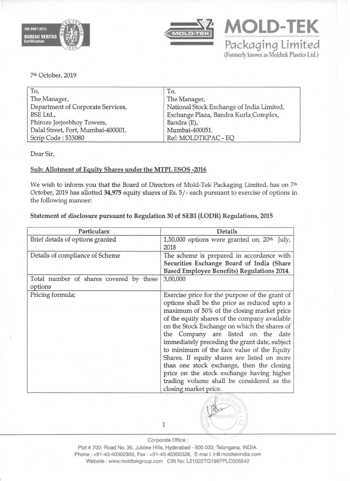



**MOLD-TEK Packaging limited**  (Formerly known as Moldtek Plastics Ltd.)

7th October, 2019

| To,                                | To,                                       |  |
|------------------------------------|-------------------------------------------|--|
| The Manager,                       | The Manager,                              |  |
| Department of Corporate Services,  | National Stock Exchange of India Limited, |  |
| BSE Ltd.,                          | Exchange Plaza, Bandra Kurla Complex,     |  |
| Phiroze Jeejeebhoy Towers,         | Bandra (E),                               |  |
| Dalal Street, Fort, Mumbai-400001. | Mumbai-400051.                            |  |
| Scrip Code: 533080                 | Ref: MOLDTKPAC - EQ                       |  |

Dear Sir,

## Sub: Allotment of Equity Shares under the MTPL ESOS -2016

We wish to inform you that the Board of Directors of Mold-Tek Packaging Limited, has on 7th October, 2019 has allotted 34,975 equity shares of Rs. 5/- each pursuant to exercise of options in the following manner:

## Statement of disclosure pursuant to Regulation 30 of SEBI (LODR) Regulations, 2015

| Particulars                             | Details                                                     |  |  |
|-----------------------------------------|-------------------------------------------------------------|--|--|
| Brief details of options granted        | $1,50,000$ options were granted on, $20th$<br>July,<br>2018 |  |  |
| Details of compliance of Scheme         | The scheme is prepared in accordance with                   |  |  |
|                                         | Securities Exchange Board of India (Share                   |  |  |
|                                         | Based Employee Benefits) Regulations 2014.                  |  |  |
| Total number of shares covered by these | 3,00,000                                                    |  |  |
| options                                 |                                                             |  |  |
| Pricing formula;                        | Exercise price for the purpose of the grant of              |  |  |
|                                         | options shall be the price as reduced upto a                |  |  |
|                                         | maximum of 50% of the closing market price                  |  |  |
|                                         | of the equity shares of the company available               |  |  |
|                                         | on the Stock Exchange on which the shares of                |  |  |
|                                         | the Company are listed on the date                          |  |  |
|                                         | immediately preceding the grant date, subject               |  |  |
|                                         | to minimum of the face value of the Equity                  |  |  |
|                                         | Shares. If equity shares are listed on more                 |  |  |
|                                         | than one stock exchange, then the closing                   |  |  |
|                                         | price on the stock exchange having higher                   |  |  |
|                                         | trading volume shall be considered as the                   |  |  |
|                                         | closing market price.                                       |  |  |



Corporate Office :

1

Plot # 700. Road No. 36. Jubilee Hills. Hyderabad - 500 033, Telangana, INDIA. Phone : +91-40-40300300, Fax : +91-40-40300328, E-mai I: ir@moldtekindia.com Website : www.moldtekgroup.com CIN No: L21022TG1997PLC026542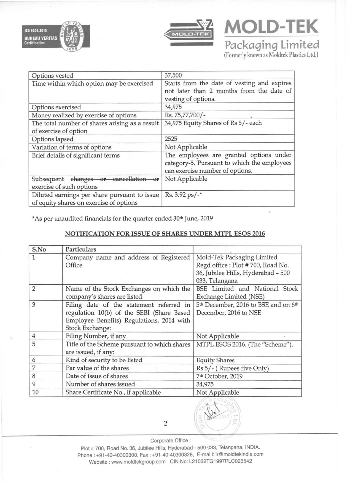



**MOLD-TEK Packaging limited** 

(Formerly known as Moldtek Plastics Ltd.)

| Options vested                                 | 37,500                                      |  |  |
|------------------------------------------------|---------------------------------------------|--|--|
| Time within which option may be exercised      | Starts from the date of vesting and expires |  |  |
|                                                | not later than 2 months from the date of    |  |  |
|                                                | vesting of options.                         |  |  |
| Options exercised                              | 34,975                                      |  |  |
| Money realized by exercise of options          | Rs. 75,77,700/-                             |  |  |
| The total number of shares arising as a result | 34,975 Equity Shares of Rs 5/- each         |  |  |
| of exercise of option                          |                                             |  |  |
| Options lapsed                                 | 2525                                        |  |  |
| Variation of terms of options                  | Not Applicable                              |  |  |
| Brief details of significant terms             | The employees are granted options under     |  |  |
|                                                | category-5. Pursuant to which the employees |  |  |
|                                                | can exercise number of options.             |  |  |
| Subsequent changes or cancellation or          | Not Applicable                              |  |  |
| exercise of such options                       |                                             |  |  |
| Diluted earnings per share pursuant to issue   | $Rs. 3.92 ps/ -$ *                          |  |  |
| of equity shares on exercise of options        |                                             |  |  |

\*As per unaudited financials for the quarter ended 30<sup>th</sup> June, 2019

## NOTIFICATION FOR ISSUE OF SHARES UNDER MTPL ESOS 2016

| S.No         | Particulars                                                                                                                                                  |                                                                                                                        |  |
|--------------|--------------------------------------------------------------------------------------------------------------------------------------------------------------|------------------------------------------------------------------------------------------------------------------------|--|
| $\mathbf{1}$ | Company name and address of Registered<br>Office                                                                                                             | Mold-Tek Packaging Limited<br>Regd office: Plot #700, Road No.<br>36, Jubilee Hills, Hyderabad - 500<br>033, Telangana |  |
| 2            | Name of the Stock Exchanges on which the<br>company's shares are listed                                                                                      | BSE Limited and National Stock<br>Exchange Limited (NSE)                                                               |  |
| 3            | Filing date of the statement referred in<br>regulation 10(b) of the SEBI (Share Based<br>Employee Benefits) Regulations, 2014 with<br><b>Stock Exchange:</b> | 5 <sup>th</sup> December, 2016 to BSE and on 6 <sup>th</sup><br>December, 2016 to NSE                                  |  |
| 4            | Filing Number, if any                                                                                                                                        | Not Applicable                                                                                                         |  |
| 5            | Title of the Scheme pursuant to which shares<br>are issued, if any:                                                                                          | MTPL ESOS 2016. (The "Scheme").                                                                                        |  |
| 6            | Kind of security to be listed                                                                                                                                | <b>Equity Shares</b>                                                                                                   |  |
| 7            | Par value of the shares                                                                                                                                      | Rs 5/- (Rupees five Only)                                                                                              |  |
| 8            | Date of issue of shares                                                                                                                                      | 7th October, 2019                                                                                                      |  |
| 9            | Number of shares issued                                                                                                                                      | 34,975                                                                                                                 |  |
| 10           | Share Certificate No., if applicable                                                                                                                         | Not Applicable                                                                                                         |  |



Corporate Office :

2

Plot # 700, Road No. 36, Jubilee Hills, Hyderabad - 500 033, Telangana, INDIA. Phone : +91-40-40300300, Fax : +91-40-40300328, E-mai I: ir@moldtekindia.com Website : www.moldtekgroup.com CIN No: l21022TG1997PLC026542